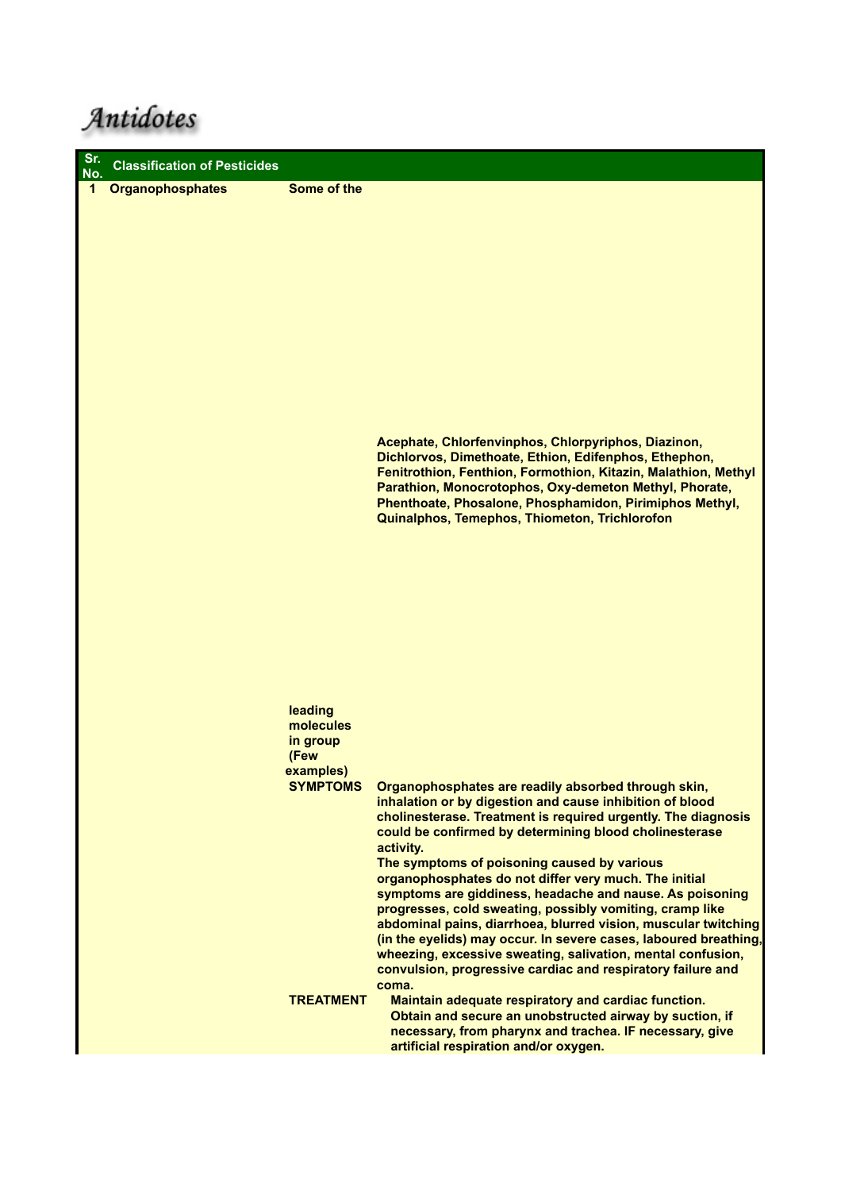Antidotes

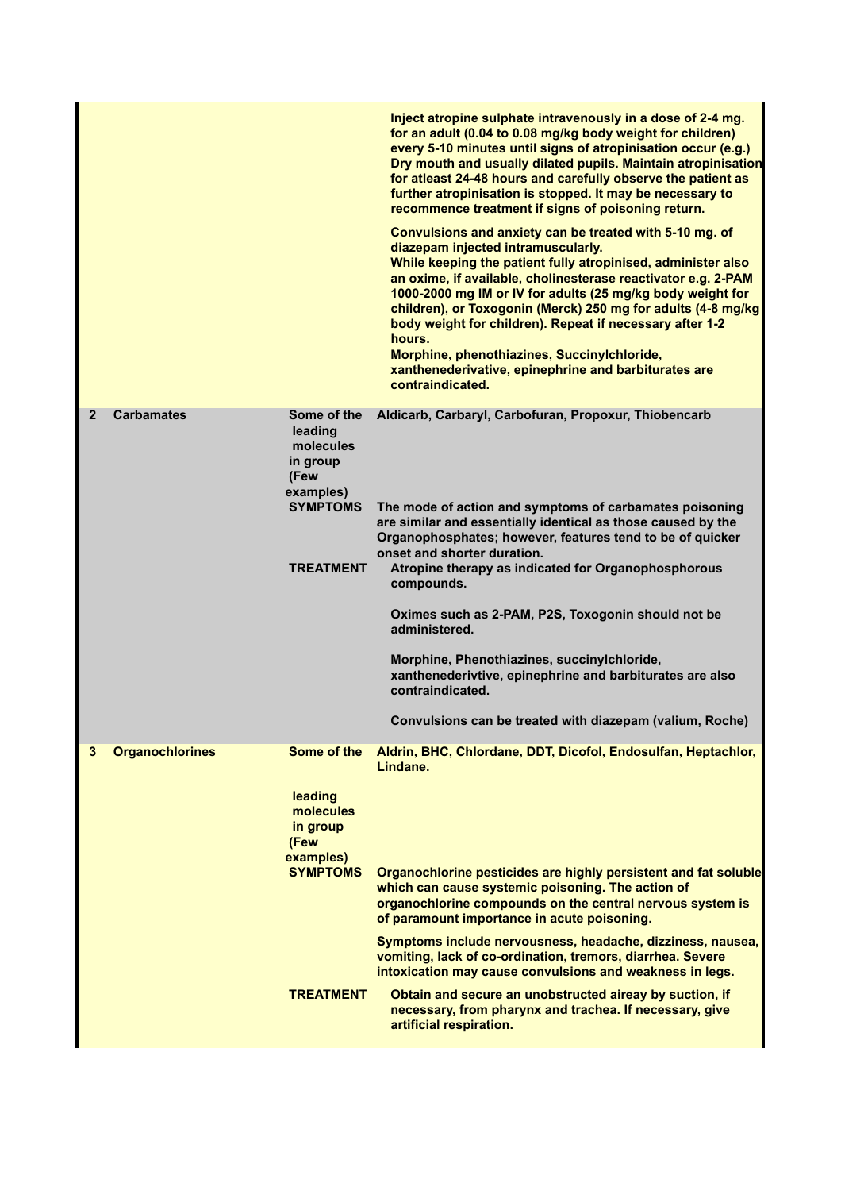|              |                        |                                                                                                             | Inject atropine sulphate intravenously in a dose of 2-4 mg.<br>for an adult (0.04 to 0.08 mg/kg body weight for children)<br>every 5-10 minutes until signs of atropinisation occur (e.g.)<br>Dry mouth and usually dilated pupils. Maintain atropinisation<br>for atleast 24-48 hours and carefully observe the patient as<br>further atropinisation is stopped. It may be necessary to<br>recommence treatment if signs of poisoning return.<br>Convulsions and anxiety can be treated with 5-10 mg. of<br>diazepam injected intramuscularly.<br>While keeping the patient fully atropinised, administer also<br>an oxime, if available, cholinesterase reactivator e.g. 2-PAM<br>1000-2000 mg IM or IV for adults (25 mg/kg body weight for<br>children), or Toxogonin (Merck) 250 mg for adults (4-8 mg/kg<br>body weight for children). Repeat if necessary after 1-2<br>hours.<br>Morphine, phenothiazines, Succinylchloride,<br>xanthenederivative, epinephrine and barbiturates are<br>contraindicated. |
|--------------|------------------------|-------------------------------------------------------------------------------------------------------------|-----------------------------------------------------------------------------------------------------------------------------------------------------------------------------------------------------------------------------------------------------------------------------------------------------------------------------------------------------------------------------------------------------------------------------------------------------------------------------------------------------------------------------------------------------------------------------------------------------------------------------------------------------------------------------------------------------------------------------------------------------------------------------------------------------------------------------------------------------------------------------------------------------------------------------------------------------------------------------------------------------------------|
| $\mathbf{2}$ | <b>Carbamates</b>      | Some of the<br>leading<br>molecules<br>in group<br>(Few<br>examples)<br><b>SYMPTOMS</b><br><b>TREATMENT</b> | Aldicarb, Carbaryl, Carbofuran, Propoxur, Thiobencarb<br>The mode of action and symptoms of carbamates poisoning<br>are similar and essentially identical as those caused by the<br>Organophosphates; however, features tend to be of quicker<br>onset and shorter duration.<br>Atropine therapy as indicated for Organophosphorous<br>compounds.<br>Oximes such as 2-PAM, P2S, Toxogonin should not be<br>administered.<br>Morphine, Phenothiazines, succinylchloride,<br>xanthenederivtive, epinephrine and barbiturates are also<br>contraindicated.<br>Convulsions can be treated with diazepam (valium, Roche)                                                                                                                                                                                                                                                                                                                                                                                             |
| 3            | <b>Organochlorines</b> | Some of the<br>leading<br>molecules<br>in group<br>(Few<br>examples)<br><b>SYMPTOMS</b><br><b>TREATMENT</b> | Aldrin, BHC, Chlordane, DDT, Dicofol, Endosulfan, Heptachlor,<br>Lindane.<br>Organochlorine pesticides are highly persistent and fat soluble<br>which can cause systemic poisoning. The action of<br>organochlorine compounds on the central nervous system is<br>of paramount importance in acute poisoning.<br>Symptoms include nervousness, headache, dizziness, nausea,<br>vomiting, lack of co-ordination, tremors, diarrhea. Severe<br>intoxication may cause convulsions and weakness in legs.<br>Obtain and secure an unobstructed aireay by suction, if<br>necessary, from pharynx and trachea. If necessary, give<br>artificial respiration.                                                                                                                                                                                                                                                                                                                                                          |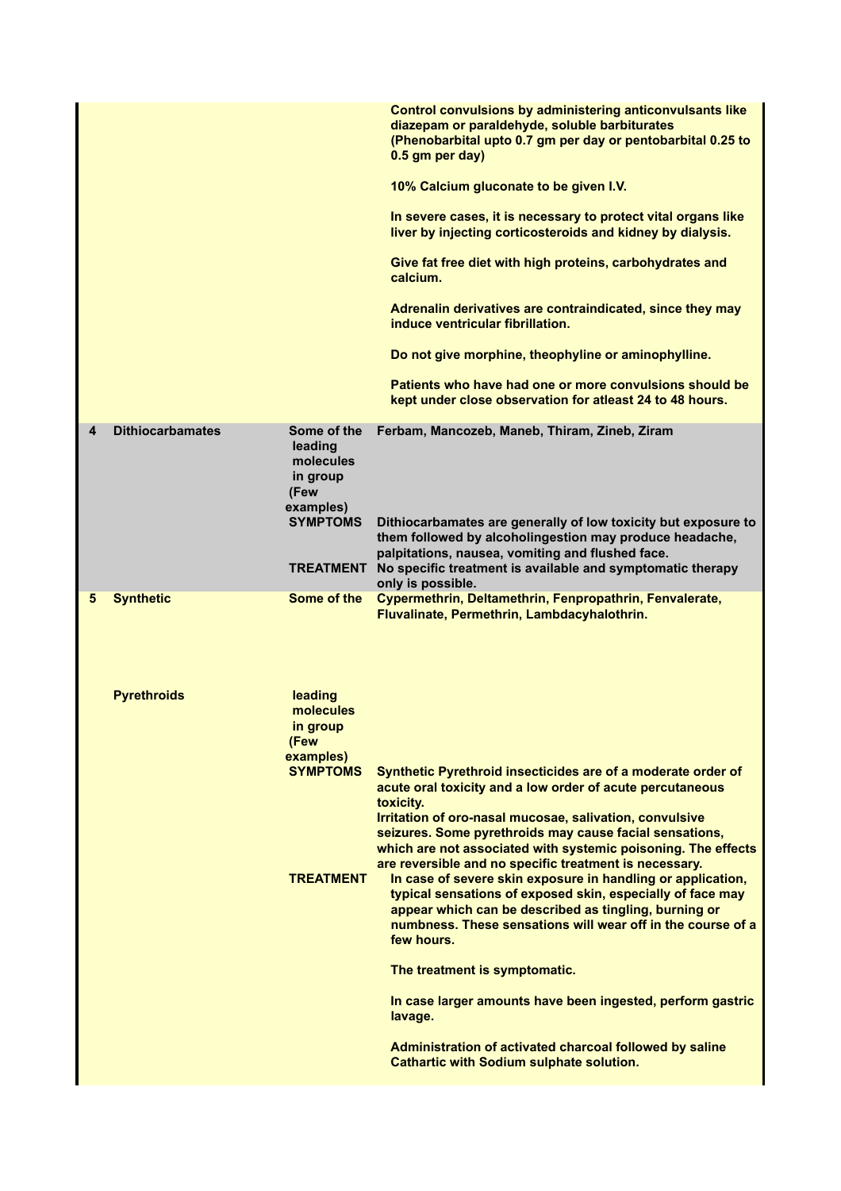|   |                         |                                                                                                             | <b>Control convulsions by administering anticonvulsants like</b><br>diazepam or paraldehyde, soluble barbiturates<br>(Phenobarbital upto 0.7 gm per day or pentobarbital 0.25 to<br>0.5 gm per day)<br>10% Calcium gluconate to be given I.V.<br>In severe cases, it is necessary to protect vital organs like<br>liver by injecting corticosteroids and kidney by dialysis.<br>Give fat free diet with high proteins, carbohydrates and<br>calcium.<br>Adrenalin derivatives are contraindicated, since they may<br>induce ventricular fibrillation.<br>Do not give morphine, theophyline or aminophylline.<br>Patients who have had one or more convulsions should be<br>kept under close observation for atleast 24 to 48 hours.                                                                                                                                                |
|---|-------------------------|-------------------------------------------------------------------------------------------------------------|------------------------------------------------------------------------------------------------------------------------------------------------------------------------------------------------------------------------------------------------------------------------------------------------------------------------------------------------------------------------------------------------------------------------------------------------------------------------------------------------------------------------------------------------------------------------------------------------------------------------------------------------------------------------------------------------------------------------------------------------------------------------------------------------------------------------------------------------------------------------------------|
| 4 | <b>Dithiocarbamates</b> | Some of the<br>leading<br>molecules<br>in group<br>(Few<br>examples)<br><b>SYMPTOMS</b><br><b>TREATMENT</b> | Ferbam, Mancozeb, Maneb, Thiram, Zineb, Ziram<br>Dithiocarbamates are generally of low toxicity but exposure to<br>them followed by alcoholingestion may produce headache,<br>palpitations, nausea, vomiting and flushed face.<br>No specific treatment is available and symptomatic therapy<br>only is possible.                                                                                                                                                                                                                                                                                                                                                                                                                                                                                                                                                                  |
| 5 | <b>Synthetic</b>        | Some of the                                                                                                 | Cypermethrin, Deltamethrin, Fenpropathrin, Fenvalerate,<br>Fluvalinate, Permethrin, Lambdacyhalothrin.                                                                                                                                                                                                                                                                                                                                                                                                                                                                                                                                                                                                                                                                                                                                                                             |
|   | <b>Pyrethroids</b>      | leading<br>molecules<br>in group<br>(Few<br>examples)<br><b>SYMPTOMS</b><br><b>TREATMENT</b>                | Synthetic Pyrethroid insecticides are of a moderate order of<br>acute oral toxicity and a low order of acute percutaneous<br>toxicity.<br>Irritation of oro-nasal mucosae, salivation, convulsive<br>seizures. Some pyrethroids may cause facial sensations,<br>which are not associated with systemic poisoning. The effects<br>are reversible and no specific treatment is necessary.<br>In case of severe skin exposure in handling or application,<br>typical sensations of exposed skin, especially of face may<br>appear which can be described as tingling, burning or<br>numbness. These sensations will wear off in the course of a<br>few hours.<br>The treatment is symptomatic.<br>In case larger amounts have been ingested, perform gastric<br>lavage.<br>Administration of activated charcoal followed by saline<br><b>Cathartic with Sodium sulphate solution.</b> |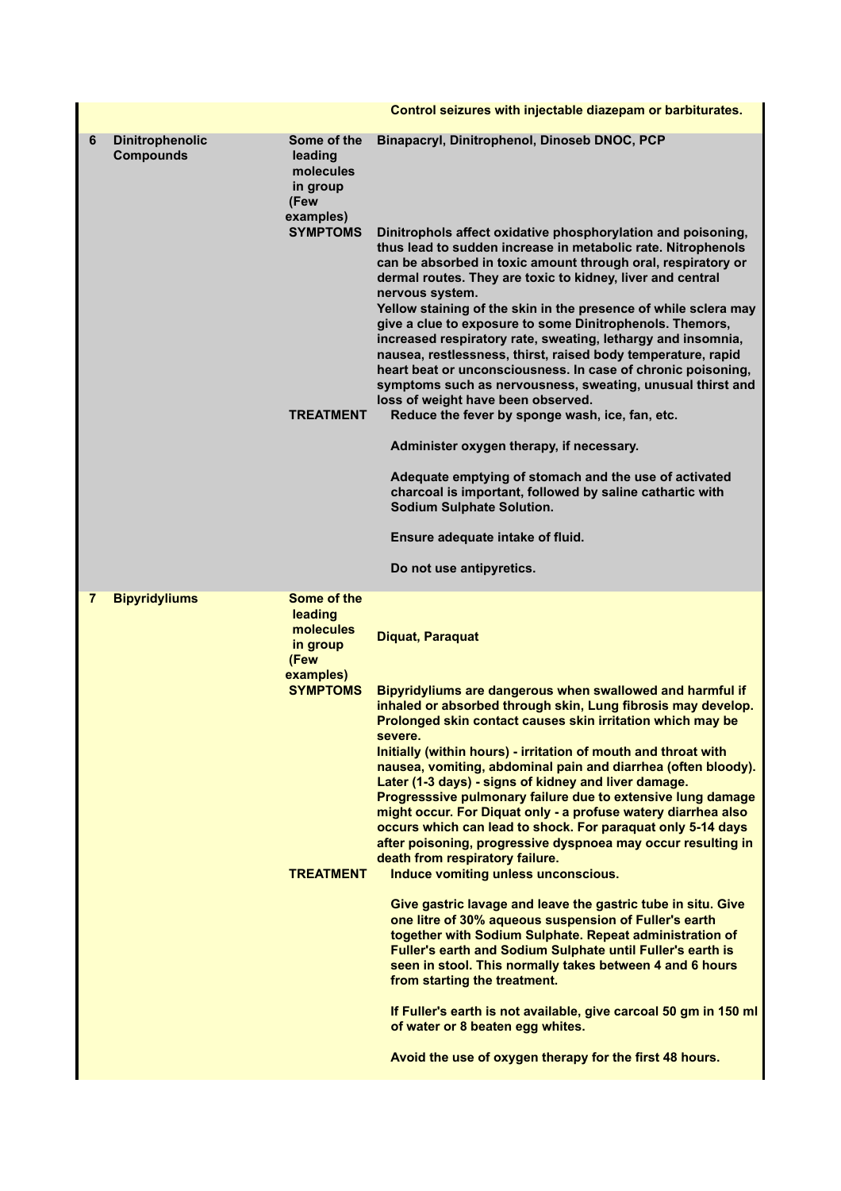|                |                                            |                                                                                                             | Control seizures with injectable diazepam or barbiturates.                                                                                                                                                                                                                                                                                                                                                                                                                                                                                                                                                                                                                                                                                                                                                                                                                                                                                                                                                                                                                                                                                                                                                                                                                         |
|----------------|--------------------------------------------|-------------------------------------------------------------------------------------------------------------|------------------------------------------------------------------------------------------------------------------------------------------------------------------------------------------------------------------------------------------------------------------------------------------------------------------------------------------------------------------------------------------------------------------------------------------------------------------------------------------------------------------------------------------------------------------------------------------------------------------------------------------------------------------------------------------------------------------------------------------------------------------------------------------------------------------------------------------------------------------------------------------------------------------------------------------------------------------------------------------------------------------------------------------------------------------------------------------------------------------------------------------------------------------------------------------------------------------------------------------------------------------------------------|
| 6              | <b>Dinitrophenolic</b><br><b>Compounds</b> | Some of the<br>leading<br>molecules<br>in group<br>(Few<br>examples)<br><b>SYMPTOMS</b><br><b>TREATMENT</b> | Binapacryl, Dinitrophenol, Dinoseb DNOC, PCP<br>Dinitrophols affect oxidative phosphorylation and poisoning,<br>thus lead to sudden increase in metabolic rate. Nitrophenols<br>can be absorbed in toxic amount through oral, respiratory or<br>dermal routes. They are toxic to kidney, liver and central<br>nervous system.<br>Yellow staining of the skin in the presence of while sclera may<br>give a clue to exposure to some Dinitrophenols. Themors,<br>increased respiratory rate, sweating, lethargy and insomnia,<br>nausea, restlessness, thirst, raised body temperature, rapid<br>heart beat or unconsciousness. In case of chronic poisoning,<br>symptoms such as nervousness, sweating, unusual thirst and<br>loss of weight have been observed.<br>Reduce the fever by sponge wash, ice, fan, etc.<br>Administer oxygen therapy, if necessary.<br>Adequate emptying of stomach and the use of activated<br>charcoal is important, followed by saline cathartic with<br><b>Sodium Sulphate Solution.</b><br>Ensure adequate intake of fluid.                                                                                                                                                                                                                       |
|                |                                            |                                                                                                             | Do not use antipyretics.                                                                                                                                                                                                                                                                                                                                                                                                                                                                                                                                                                                                                                                                                                                                                                                                                                                                                                                                                                                                                                                                                                                                                                                                                                                           |
| $\overline{7}$ | <b>Bipyridyliums</b>                       | Some of the<br>leading<br>molecules<br>in group<br>(Few<br>examples)<br><b>SYMPTOMS</b><br><b>TREATMENT</b> | <b>Diquat, Paraquat</b><br>Bipyridyliums are dangerous when swallowed and harmful if<br>inhaled or absorbed through skin, Lung fibrosis may develop.<br>Prolonged skin contact causes skin irritation which may be<br>severe.<br>Initially (within hours) - irritation of mouth and throat with<br>nausea, vomiting, abdominal pain and diarrhea (often bloody).<br>Later (1-3 days) - signs of kidney and liver damage.<br>Progresssive pulmonary failure due to extensive lung damage<br>might occur. For Diquat only - a profuse watery diarrhea also<br>occurs which can lead to shock. For paraquat only 5-14 days<br>after poisoning, progressive dyspnoea may occur resulting in<br>death from respiratory failure.<br>Induce vomiting unless unconscious.<br>Give gastric lavage and leave the gastric tube in situ. Give<br>one litre of 30% aqueous suspension of Fuller's earth<br>together with Sodium Sulphate. Repeat administration of<br>Fuller's earth and Sodium Sulphate until Fuller's earth is<br>seen in stool. This normally takes between 4 and 6 hours<br>from starting the treatment.<br>If Fuller's earth is not available, give carcoal 50 gm in 150 ml<br>of water or 8 beaten egg whites.<br>Avoid the use of oxygen therapy for the first 48 hours. |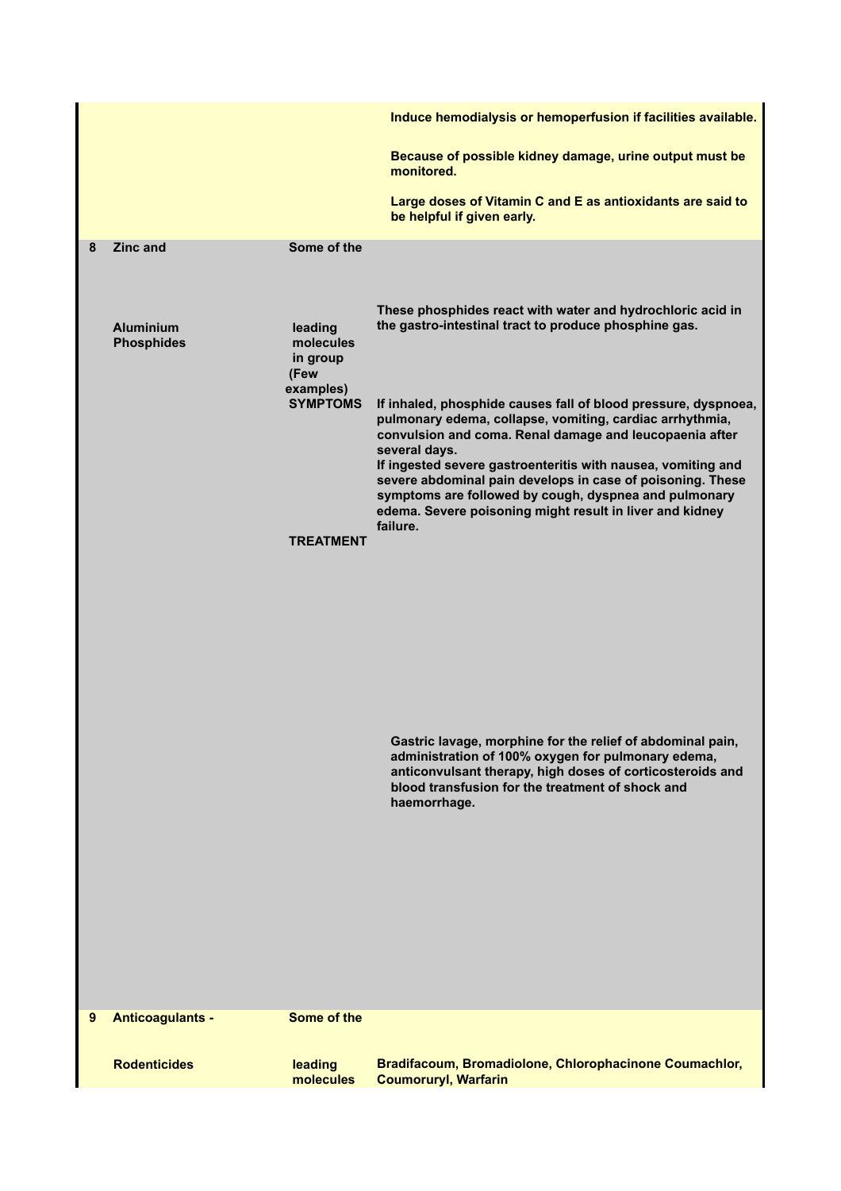| Because of possible kidney damage, urine output must be<br>monitored.<br>Large doses of Vitamin C and E as antioxidants are said to<br>be helpful if given early.<br><b>Zinc and</b><br>Some of the<br>8<br>These phosphides react with water and hydrochloric acid in<br>the gastro-intestinal tract to produce phosphine gas.<br><b>Aluminium</b><br>leading<br>molecules<br><b>Phosphides</b><br>in group<br>(Few<br>examples)<br><b>SYMPTOMS</b><br>If inhaled, phosphide causes fall of blood pressure, dyspnoea,<br>pulmonary edema, collapse, vomiting, cardiac arrhythmia,<br>convulsion and coma. Renal damage and leucopaenia after<br>several days.<br>If ingested severe gastroenteritis with nausea, vomiting and<br>severe abdominal pain develops in case of poisoning. These<br>symptoms are followed by cough, dyspnea and pulmonary<br>edema. Severe poisoning might result in liver and kidney<br>failure.<br><b>TREATMENT</b><br>Gastric lavage, morphine for the relief of abdominal pain,<br>administration of 100% oxygen for pulmonary edema,<br>anticonvulsant therapy, high doses of corticosteroids and<br>blood transfusion for the treatment of shock and<br>haemorrhage.<br>Some of the<br><b>Anticoagulants -</b><br>9<br>Bradifacoum, Bromadiolone, Chlorophacinone Coumachlor,<br><b>Rodenticides</b><br>leading<br><b>Coumoruryl, Warfarin</b><br>molecules |  | Induce hemodialysis or hemoperfusion if facilities available. |
|-----------------------------------------------------------------------------------------------------------------------------------------------------------------------------------------------------------------------------------------------------------------------------------------------------------------------------------------------------------------------------------------------------------------------------------------------------------------------------------------------------------------------------------------------------------------------------------------------------------------------------------------------------------------------------------------------------------------------------------------------------------------------------------------------------------------------------------------------------------------------------------------------------------------------------------------------------------------------------------------------------------------------------------------------------------------------------------------------------------------------------------------------------------------------------------------------------------------------------------------------------------------------------------------------------------------------------------------------------------------------------------------------|--|---------------------------------------------------------------|
|                                                                                                                                                                                                                                                                                                                                                                                                                                                                                                                                                                                                                                                                                                                                                                                                                                                                                                                                                                                                                                                                                                                                                                                                                                                                                                                                                                                               |  |                                                               |
|                                                                                                                                                                                                                                                                                                                                                                                                                                                                                                                                                                                                                                                                                                                                                                                                                                                                                                                                                                                                                                                                                                                                                                                                                                                                                                                                                                                               |  |                                                               |
|                                                                                                                                                                                                                                                                                                                                                                                                                                                                                                                                                                                                                                                                                                                                                                                                                                                                                                                                                                                                                                                                                                                                                                                                                                                                                                                                                                                               |  |                                                               |
|                                                                                                                                                                                                                                                                                                                                                                                                                                                                                                                                                                                                                                                                                                                                                                                                                                                                                                                                                                                                                                                                                                                                                                                                                                                                                                                                                                                               |  |                                                               |
|                                                                                                                                                                                                                                                                                                                                                                                                                                                                                                                                                                                                                                                                                                                                                                                                                                                                                                                                                                                                                                                                                                                                                                                                                                                                                                                                                                                               |  |                                                               |
|                                                                                                                                                                                                                                                                                                                                                                                                                                                                                                                                                                                                                                                                                                                                                                                                                                                                                                                                                                                                                                                                                                                                                                                                                                                                                                                                                                                               |  |                                                               |
|                                                                                                                                                                                                                                                                                                                                                                                                                                                                                                                                                                                                                                                                                                                                                                                                                                                                                                                                                                                                                                                                                                                                                                                                                                                                                                                                                                                               |  |                                                               |
|                                                                                                                                                                                                                                                                                                                                                                                                                                                                                                                                                                                                                                                                                                                                                                                                                                                                                                                                                                                                                                                                                                                                                                                                                                                                                                                                                                                               |  |                                                               |
|                                                                                                                                                                                                                                                                                                                                                                                                                                                                                                                                                                                                                                                                                                                                                                                                                                                                                                                                                                                                                                                                                                                                                                                                                                                                                                                                                                                               |  |                                                               |
|                                                                                                                                                                                                                                                                                                                                                                                                                                                                                                                                                                                                                                                                                                                                                                                                                                                                                                                                                                                                                                                                                                                                                                                                                                                                                                                                                                                               |  |                                                               |
|                                                                                                                                                                                                                                                                                                                                                                                                                                                                                                                                                                                                                                                                                                                                                                                                                                                                                                                                                                                                                                                                                                                                                                                                                                                                                                                                                                                               |  |                                                               |
|                                                                                                                                                                                                                                                                                                                                                                                                                                                                                                                                                                                                                                                                                                                                                                                                                                                                                                                                                                                                                                                                                                                                                                                                                                                                                                                                                                                               |  |                                                               |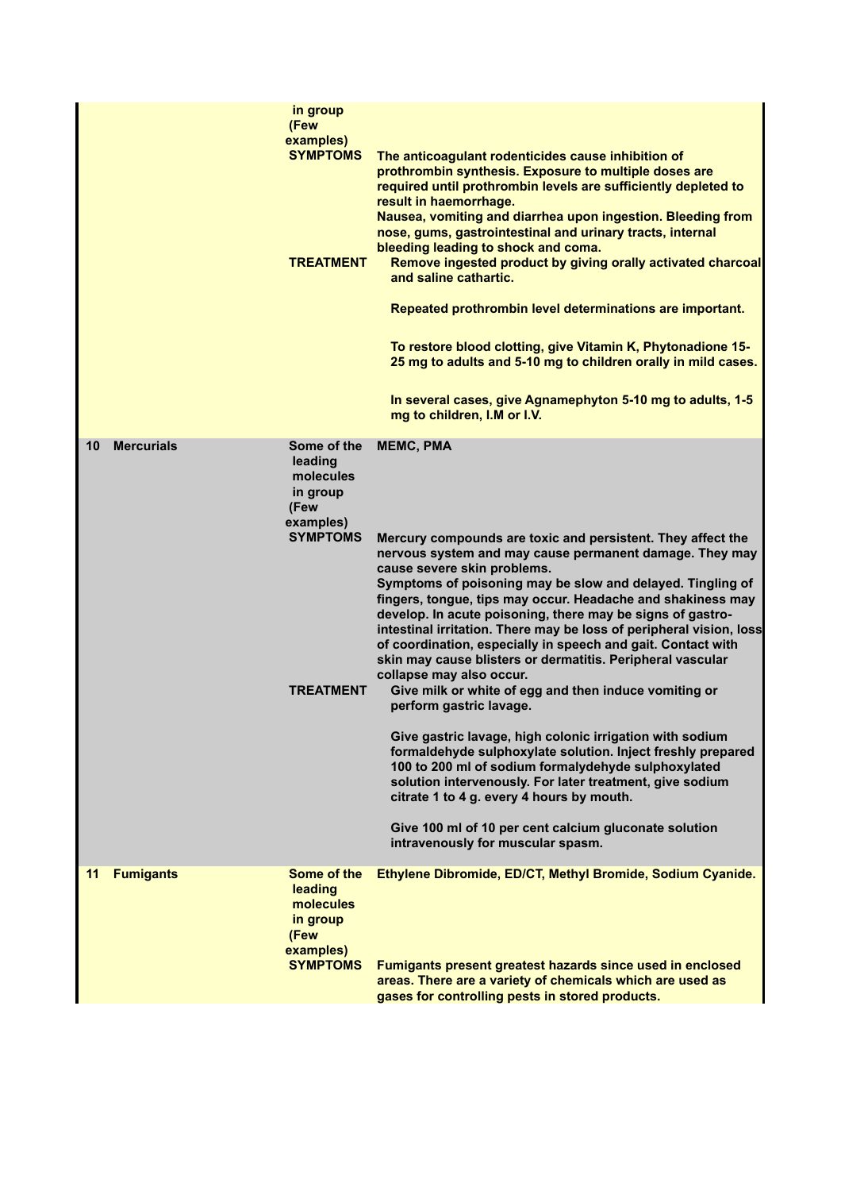|    |                   | in group<br>(Few<br>examples)<br><b>SYMPTOMS</b><br><b>TREATMENT</b>                                        | The anticoagulant rodenticides cause inhibition of<br>prothrombin synthesis. Exposure to multiple doses are<br>required until prothrombin levels are sufficiently depleted to<br>result in haemorrhage.<br>Nausea, vomiting and diarrhea upon ingestion. Bleeding from<br>nose, gums, gastrointestinal and urinary tracts, internal<br>bleeding leading to shock and coma.<br>Remove ingested product by giving orally activated charcoal<br>and saline cathartic.<br>Repeated prothrombin level determinations are important.<br>To restore blood clotting, give Vitamin K, Phytonadione 15-<br>25 mg to adults and 5-10 mg to children orally in mild cases.<br>In several cases, give Agnamephyton 5-10 mg to adults, 1-5<br>mg to children, I.M or I.V.                                                                                                                                                                                                                                                                                                                        |
|----|-------------------|-------------------------------------------------------------------------------------------------------------|------------------------------------------------------------------------------------------------------------------------------------------------------------------------------------------------------------------------------------------------------------------------------------------------------------------------------------------------------------------------------------------------------------------------------------------------------------------------------------------------------------------------------------------------------------------------------------------------------------------------------------------------------------------------------------------------------------------------------------------------------------------------------------------------------------------------------------------------------------------------------------------------------------------------------------------------------------------------------------------------------------------------------------------------------------------------------------|
| 10 | <b>Mercurials</b> | Some of the<br>leading<br>molecules<br>in group<br>(Few<br>examples)<br><b>SYMPTOMS</b><br><b>TREATMENT</b> | <b>MEMC, PMA</b><br>Mercury compounds are toxic and persistent. They affect the<br>nervous system and may cause permanent damage. They may<br>cause severe skin problems.<br>Symptoms of poisoning may be slow and delayed. Tingling of<br>fingers, tongue, tips may occur. Headache and shakiness may<br>develop. In acute poisoning, there may be signs of gastro-<br>intestinal irritation. There may be loss of peripheral vision, loss<br>of coordination, especially in speech and gait. Contact with<br>skin may cause blisters or dermatitis. Peripheral vascular<br>collapse may also occur.<br>Give milk or white of egg and then induce vomiting or<br>perform gastric lavage.<br>Give gastric lavage, high colonic irrigation with sodium<br>formaldehyde sulphoxylate solution. Inject freshly prepared<br>100 to 200 ml of sodium formalydehyde sulphoxylated<br>solution intervenously. For later treatment, give sodium<br>citrate 1 to 4 g. every 4 hours by mouth.<br>Give 100 ml of 10 per cent calcium gluconate solution<br>intravenously for muscular spasm. |
| 11 | <b>Fumigants</b>  | Some of the<br>leading<br>molecules<br>in group<br>(Few<br>examples)<br><b>SYMPTOMS</b>                     | Ethylene Dibromide, ED/CT, Methyl Bromide, Sodium Cyanide.<br>Fumigants present greatest hazards since used in enclosed<br>areas. There are a variety of chemicals which are used as<br>gases for controlling pests in stored products.                                                                                                                                                                                                                                                                                                                                                                                                                                                                                                                                                                                                                                                                                                                                                                                                                                            |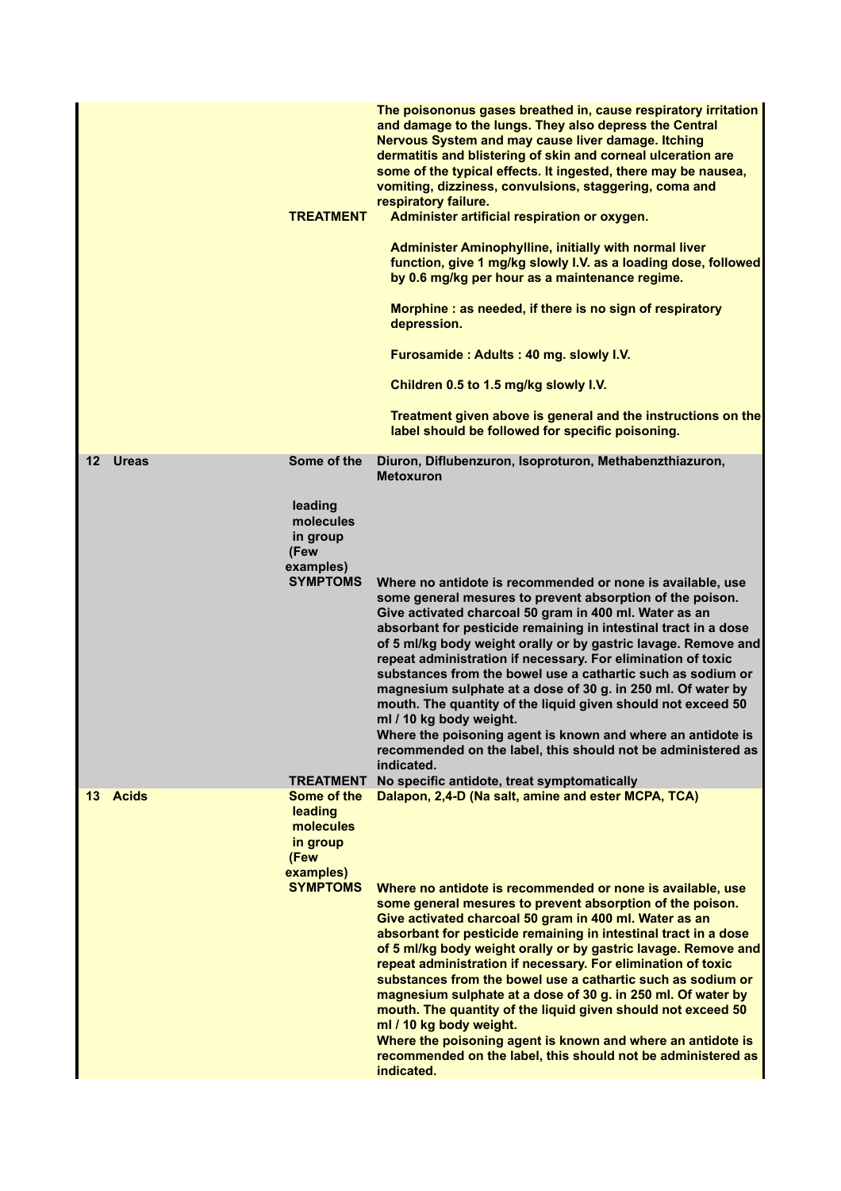|                         | <b>TREATMENT</b>                                                                                            | The poisononus gases breathed in, cause respiratory irritation<br>and damage to the lungs. They also depress the Central<br>Nervous System and may cause liver damage. Itching<br>dermatitis and blistering of skin and corneal ulceration are<br>some of the typical effects. It ingested, there may be nausea,<br>vomiting, dizziness, convulsions, staggering, coma and<br>respiratory failure.<br>Administer artificial respiration or oxygen.<br>Administer Aminophylline, initially with normal liver<br>function, give 1 mg/kg slowly I.V. as a loading dose, followed<br>by 0.6 mg/kg per hour as a maintenance regime.<br>Morphine: as needed, if there is no sign of respiratory<br>depression.<br>Furosamide: Adults: 40 mg. slowly I.V.<br>Children 0.5 to 1.5 mg/kg slowly I.V.<br>Treatment given above is general and the instructions on the<br>label should be followed for specific poisoning. |
|-------------------------|-------------------------------------------------------------------------------------------------------------|------------------------------------------------------------------------------------------------------------------------------------------------------------------------------------------------------------------------------------------------------------------------------------------------------------------------------------------------------------------------------------------------------------------------------------------------------------------------------------------------------------------------------------------------------------------------------------------------------------------------------------------------------------------------------------------------------------------------------------------------------------------------------------------------------------------------------------------------------------------------------------------------------------------|
| $12 \,$<br><b>Ureas</b> | Some of the<br>leading<br>molecules<br>in group<br>(Few<br>examples)<br><b>SYMPTOMS</b>                     | Diuron, Diflubenzuron, Isoproturon, Methabenzthiazuron,<br><b>Metoxuron</b><br>Where no antidote is recommended or none is available, use<br>some general mesures to prevent absorption of the poison.<br>Give activated charcoal 50 gram in 400 ml. Water as an<br>absorbant for pesticide remaining in intestinal tract in a dose<br>of 5 ml/kg body weight orally or by gastric lavage. Remove and<br>repeat administration if necessary. For elimination of toxic<br>substances from the bowel use a cathartic such as sodium or<br>magnesium sulphate at a dose of 30 g. in 250 ml. Of water by<br>mouth. The quantity of the liquid given should not exceed 50<br>ml / 10 kg body weight.<br>Where the poisoning agent is known and where an antidote is<br>recommended on the label, this should not be administered as<br>indicated.                                                                     |
| 13 Acids                | <b>TREATMENT</b><br>Some of the<br>leading<br>molecules<br>in group<br>(Few<br>examples)<br><b>SYMPTOMS</b> | No specific antidote, treat symptomatically<br>Dalapon, 2,4-D (Na salt, amine and ester MCPA, TCA)<br>Where no antidote is recommended or none is available, use<br>some general mesures to prevent absorption of the poison.<br>Give activated charcoal 50 gram in 400 ml. Water as an<br>absorbant for pesticide remaining in intestinal tract in a dose<br>of 5 ml/kg body weight orally or by gastric lavage. Remove and<br>repeat administration if necessary. For elimination of toxic<br>substances from the bowel use a cathartic such as sodium or<br>magnesium sulphate at a dose of 30 g. in 250 ml. Of water by<br>mouth. The quantity of the liquid given should not exceed 50<br>ml / 10 kg body weight.<br>Where the poisoning agent is known and where an antidote is<br>recommended on the label, this should not be administered as<br>indicated.                                              |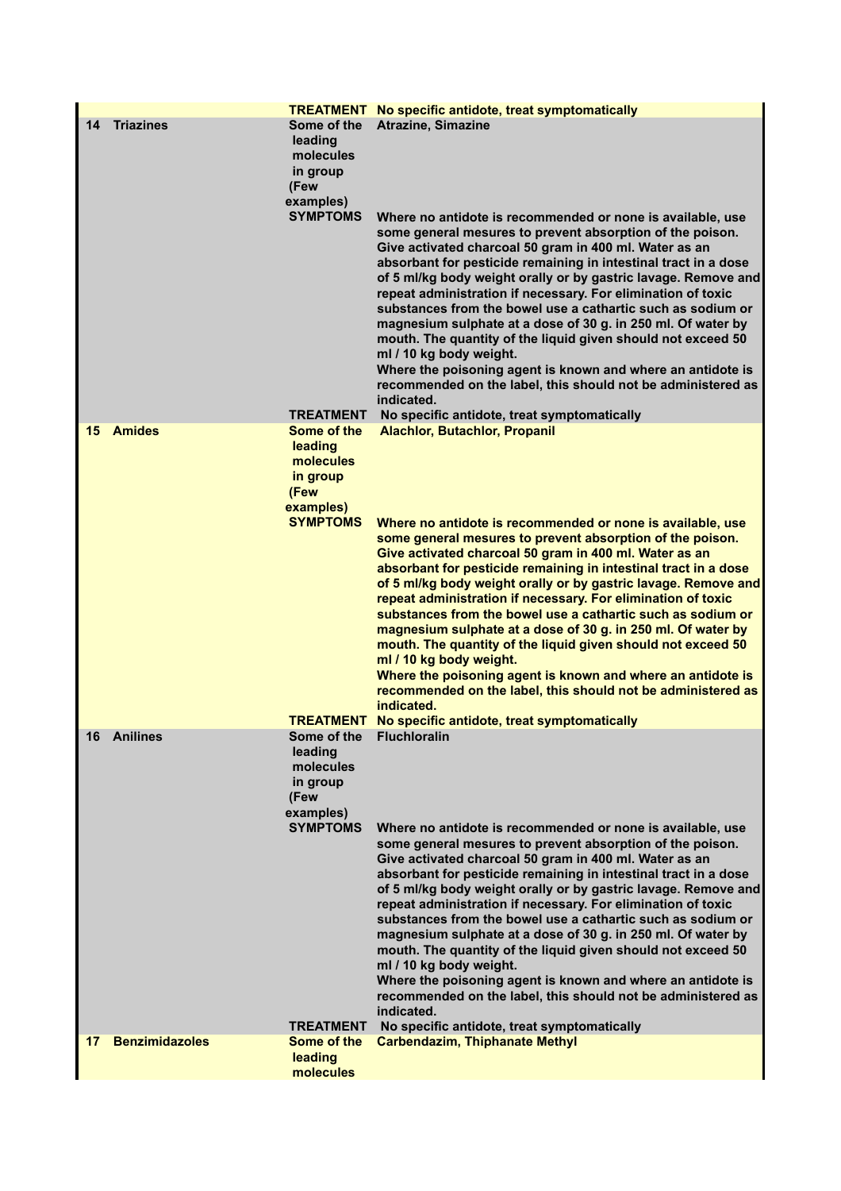|    |                       |                                                                                                             | <b>TREATMENT</b> No specific antidote, treat symptomatically                                                                                                                                                                                                                                                                                                                                                                                                                                                                                                                                                                                                                                                                                                                                                                                         |
|----|-----------------------|-------------------------------------------------------------------------------------------------------------|------------------------------------------------------------------------------------------------------------------------------------------------------------------------------------------------------------------------------------------------------------------------------------------------------------------------------------------------------------------------------------------------------------------------------------------------------------------------------------------------------------------------------------------------------------------------------------------------------------------------------------------------------------------------------------------------------------------------------------------------------------------------------------------------------------------------------------------------------|
| 14 | <b>Triazines</b>      | Some of the<br>leading<br>molecules<br>in group<br>(Few<br>examples)<br><b>SYMPTOMS</b>                     | <b>Atrazine, Simazine</b><br>Where no antidote is recommended or none is available, use<br>some general mesures to prevent absorption of the poison.<br>Give activated charcoal 50 gram in 400 ml. Water as an<br>absorbant for pesticide remaining in intestinal tract in a dose<br>of 5 ml/kg body weight orally or by gastric lavage. Remove and<br>repeat administration if necessary. For elimination of toxic<br>substances from the bowel use a cathartic such as sodium or<br>magnesium sulphate at a dose of 30 g. in 250 ml. Of water by<br>mouth. The quantity of the liquid given should not exceed 50<br>ml / 10 kg body weight.<br>Where the poisoning agent is known and where an antidote is<br>recommended on the label, this should not be administered as                                                                         |
|    |                       |                                                                                                             | indicated.                                                                                                                                                                                                                                                                                                                                                                                                                                                                                                                                                                                                                                                                                                                                                                                                                                           |
| 15 | <b>Amides</b>         | <b>TREATMENT</b><br>Some of the<br>leading<br>molecules<br>in group<br>(Few<br>examples)<br><b>SYMPTOMS</b> | No specific antidote, treat symptomatically<br><b>Alachlor, Butachlor, Propanil</b><br>Where no antidote is recommended or none is available, use<br>some general mesures to prevent absorption of the poison.<br>Give activated charcoal 50 gram in 400 ml. Water as an<br>absorbant for pesticide remaining in intestinal tract in a dose<br>of 5 ml/kg body weight orally or by gastric lavage. Remove and<br>repeat administration if necessary. For elimination of toxic<br>substances from the bowel use a cathartic such as sodium or<br>magnesium sulphate at a dose of 30 g. in 250 ml. Of water by<br>mouth. The quantity of the liquid given should not exceed 50<br>ml / 10 kg body weight.<br>Where the poisoning agent is known and where an antidote is<br>recommended on the label, this should not be administered as<br>indicated. |
|    | 16 Anilines           | Some of the<br>leading<br>molecules<br>in group<br>(Few<br>examples)<br><b>SYMPTOMS</b>                     | <b>TREATMENT</b> No specific antidote, treat symptomatically<br><b>Fluchloralin</b><br>Where no antidote is recommended or none is available, use<br>some general mesures to prevent absorption of the poison.<br>Give activated charcoal 50 gram in 400 ml. Water as an<br>absorbant for pesticide remaining in intestinal tract in a dose<br>of 5 ml/kg body weight orally or by gastric lavage. Remove and<br>repeat administration if necessary. For elimination of toxic<br>substances from the bowel use a cathartic such as sodium or<br>magnesium sulphate at a dose of 30 g. in 250 ml. Of water by<br>mouth. The quantity of the liquid given should not exceed 50<br>ml / 10 kg body weight.<br>Where the poisoning agent is known and where an antidote is<br>recommended on the label, this should not be administered as<br>indicated. |
|    |                       | <b>TREATMENT</b>                                                                                            | No specific antidote, treat symptomatically                                                                                                                                                                                                                                                                                                                                                                                                                                                                                                                                                                                                                                                                                                                                                                                                          |
| 17 | <b>Benzimidazoles</b> | Some of the<br>leading<br>molecules                                                                         | <b>Carbendazim, Thiphanate Methyl</b>                                                                                                                                                                                                                                                                                                                                                                                                                                                                                                                                                                                                                                                                                                                                                                                                                |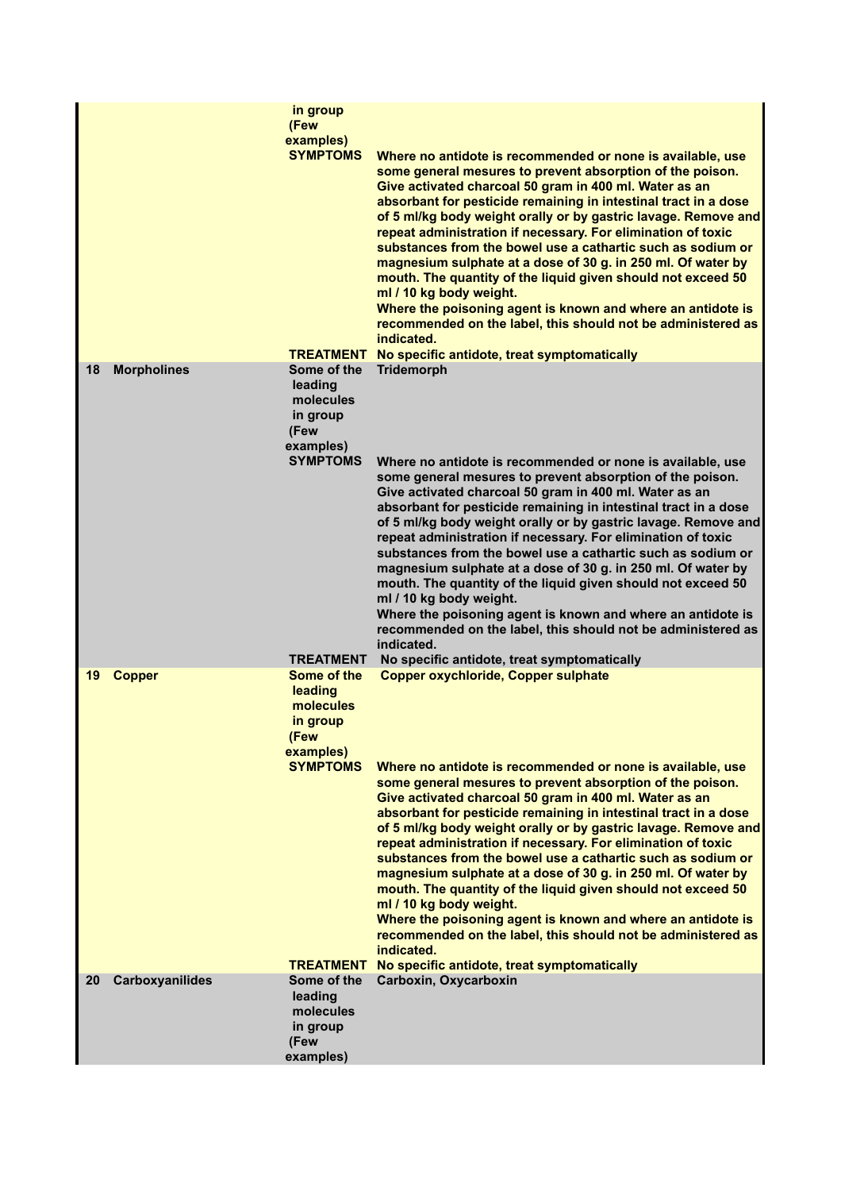|    |                    | in group<br>(Few<br>examples)<br><b>SYMPTOMS</b><br><b>TREATMENT</b>                                                            | Where no antidote is recommended or none is available, use<br>some general mesures to prevent absorption of the poison.<br>Give activated charcoal 50 gram in 400 ml. Water as an<br>absorbant for pesticide remaining in intestinal tract in a dose<br>of 5 ml/kg body weight orally or by gastric lavage. Remove and<br>repeat administration if necessary. For elimination of toxic<br>substances from the bowel use a cathartic such as sodium or<br>magnesium sulphate at a dose of 30 g. in 250 ml. Of water by<br>mouth. The quantity of the liquid given should not exceed 50<br>ml / 10 kg body weight.<br>Where the poisoning agent is known and where an antidote is<br>recommended on the label, this should not be administered as<br>indicated.<br>No specific antidote, treat symptomatically                                                                                              |
|----|--------------------|---------------------------------------------------------------------------------------------------------------------------------|-----------------------------------------------------------------------------------------------------------------------------------------------------------------------------------------------------------------------------------------------------------------------------------------------------------------------------------------------------------------------------------------------------------------------------------------------------------------------------------------------------------------------------------------------------------------------------------------------------------------------------------------------------------------------------------------------------------------------------------------------------------------------------------------------------------------------------------------------------------------------------------------------------------|
| 18 | <b>Morpholines</b> | Some of the<br>leading<br>molecules<br>in group<br>(Few<br>examples)<br><b>SYMPTOMS</b>                                         | <b>Tridemorph</b><br>Where no antidote is recommended or none is available, use<br>some general mesures to prevent absorption of the poison.<br>Give activated charcoal 50 gram in 400 ml. Water as an<br>absorbant for pesticide remaining in intestinal tract in a dose<br>of 5 ml/kg body weight orally or by gastric lavage. Remove and<br>repeat administration if necessary. For elimination of toxic<br>substances from the bowel use a cathartic such as sodium or<br>magnesium sulphate at a dose of 30 g. in 250 ml. Of water by<br>mouth. The quantity of the liquid given should not exceed 50<br>ml / 10 kg body weight.<br>Where the poisoning agent is known and where an antidote is<br>recommended on the label, this should not be administered as<br>indicated.                                                                                                                        |
| 19 | <b>Copper</b>      | <b>TREATMENT</b><br>Some of the<br>leading<br>molecules<br>in group<br>(Few<br>examples)<br><b>SYMPTOMS</b><br><b>TREATMENT</b> | No specific antidote, treat symptomatically<br><b>Copper oxychloride, Copper sulphate</b><br>Where no antidote is recommended or none is available, use<br>some general mesures to prevent absorption of the poison.<br>Give activated charcoal 50 gram in 400 ml. Water as an<br>absorbant for pesticide remaining in intestinal tract in a dose<br>of 5 ml/kg body weight orally or by gastric lavage. Remove and<br>repeat administration if necessary. For elimination of toxic<br>substances from the bowel use a cathartic such as sodium or<br>magnesium sulphate at a dose of 30 g. in 250 ml. Of water by<br>mouth. The quantity of the liquid given should not exceed 50<br>ml / 10 kg body weight.<br>Where the poisoning agent is known and where an antidote is<br>recommended on the label, this should not be administered as<br>indicated.<br>No specific antidote, treat symptomatically |
| 20 | Carboxyanilides    | Some of the<br>leading<br>molecules<br>in group<br>(Few<br>examples)                                                            | Carboxin, Oxycarboxin                                                                                                                                                                                                                                                                                                                                                                                                                                                                                                                                                                                                                                                                                                                                                                                                                                                                                     |